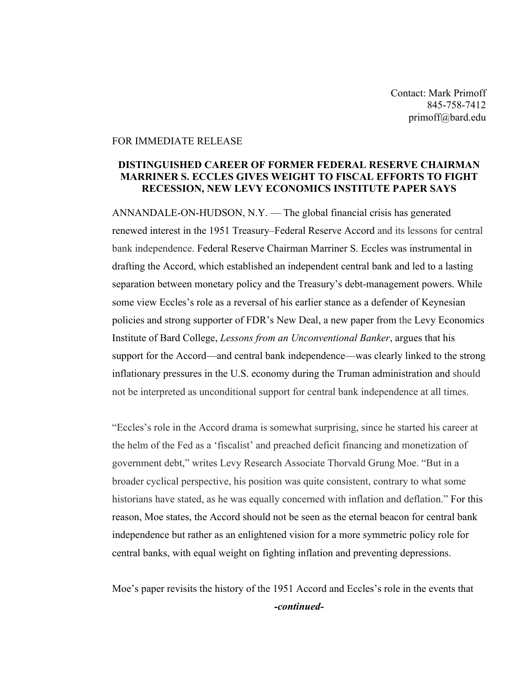Contact: Mark Primoff 845-758-7412 primoff@bard.edu

## FOR IMMEDIATE RELEASE

## **DISTINGUISHED CAREER OF FORMER FEDERAL RESERVE CHAIRMAN MARRINER S. ECCLES GIVES WEIGHT TO FISCAL EFFORTS TO FIGHT RECESSION, NEW LEVY ECONOMICS INSTITUTE PAPER SAYS**

ANNANDALE-ON-HUDSON, N.Y. — The global financial crisis has generated renewed interest in the 1951 Treasury–Federal Reserve Accord and its lessons for central bank independence. Federal Reserve Chairman Marriner S. Eccles was instrumental in drafting the Accord, which established an independent central bank and led to a lasting separation between monetary policy and the Treasury's debt-management powers. While some view Eccles's role as a reversal of his earlier stance as a defender of Keynesian policies and strong supporter of FDR's New Deal, a new paper from the Levy Economics Institute of Bard College, *Lessons from an Unconventional Banker*, argues that his support for the Accord—and central bank independence—was clearly linked to the strong inflationary pressures in the U.S. economy during the Truman administration and should not be interpreted as unconditional support for central bank independence at all times.

"Eccles's role in the Accord drama is somewhat surprising, since he started his career at the helm of the Fed as a 'fiscalist' and preached deficit financing and monetization of government debt," writes Levy Research Associate Thorvald Grung Moe. "But in a broader cyclical perspective, his position was quite consistent, contrary to what some historians have stated, as he was equally concerned with inflation and deflation." For this reason, Moe states, the Accord should not be seen as the eternal beacon for central bank independence but rather as an enlightened vision for a more symmetric policy role for central banks, with equal weight on fighting inflation and preventing depressions.

Moe's paper revisits the history of the 1951 Accord and Eccles's role in the events that *-continued-*